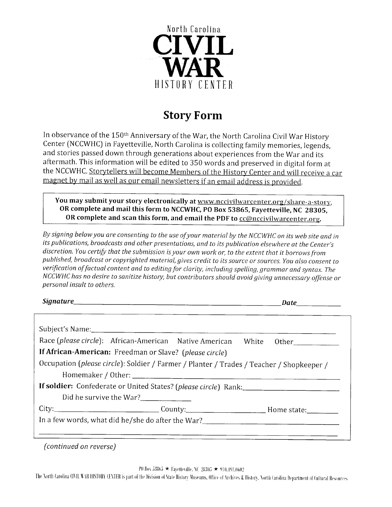

## Story Form

In observance of the 150<sup>th</sup> Anniversary of the War, the North Carolina Civil War History Center [NCCWHC) in Fayetteville, North Carolina is collecting family memories, legends, and stories passed down through generations about experiences from the War and its aftermath. This information will be edited to 350 words and preserved in digital form at the NCCWHC. Storytellers will become Members of the History Center and will receive a car magnet by mail as well as our email newsletters if an email address is provided.

You may submit your story electronically at www.nccivilwarcenter.org/share-a-story, OR complete and mail this form to NCCWHC, PO Box 53865, Fayetteville, NC 28305, OR complete and scan this form, and email the PDF to compositionarcenter.org.

By signing below you are consenting to the use of your materiol by the NCCWHC on its web site and in its publications, broadcasts and other presentations, and to its publicotion elsewhere at the Center's discretion. You certify that the submission is your own work or, to the extent that it borrows from published, broadcast or copyrighted material, gives credit to its source or sources. You also consent to verification of factual content and to editing for clarity, including spelling, grammar and syntax. The NCCWHC has no desire to sanitize history, but contributors should avoid giving unnecessary offense or personal insult to others.

Signature. Date

| Race (please circle): African-American Native American White Other                                   |  |
|------------------------------------------------------------------------------------------------------|--|
| If African-American: Freedman or Slave? (please circle)                                              |  |
| Occupation (please circle): Soldier / Farmer / Planter / Trades / Teacher / Shopkeeper /             |  |
|                                                                                                      |  |
|                                                                                                      |  |
|                                                                                                      |  |
| Did he survive the War?___________                                                                   |  |
| City:___________________________________County:_________________________________Home state:_________ |  |

(continued on reverse)

PO Box 53865 ★ Fayetteville, M. 28305 ★ 910.191.0602<br>The North Carolina ONIL WAR HISTORY CENTER is part of the Division of State History Museums, Office of Archives & History. North Carolina Department of Cultural Resourc